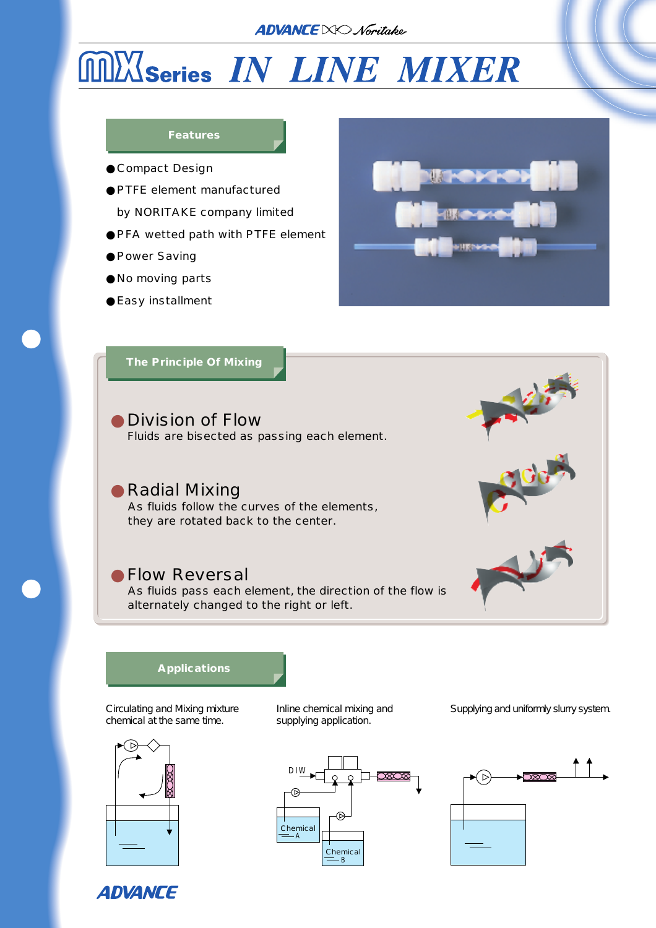### **ADVANCE** NO Noritake

# **MINSeries IN LINE MIXER**

#### **Features**

Compact Design

- PTFE element manufactured
- by NORITAKE company limited
- PFA wetted path with PTFE element
- Power Saving
- No moving parts
- Easy installment



**The Principle Of Mixing**

Division of Flow Fluids are bisected as passing each element.

Radial Mixing As fluids follow the curves of the elements, they are rotated back to the center.

## Flow Reversal

As fluids pass each element, the direction of the flow is alternately changed to the right or left.



### **Applications**

Circulating and Mixing mixture chemical at the same time.



Inline chemical mixing and supplying application.



Supplying and uniformly slurry system.



**ADVANCE**